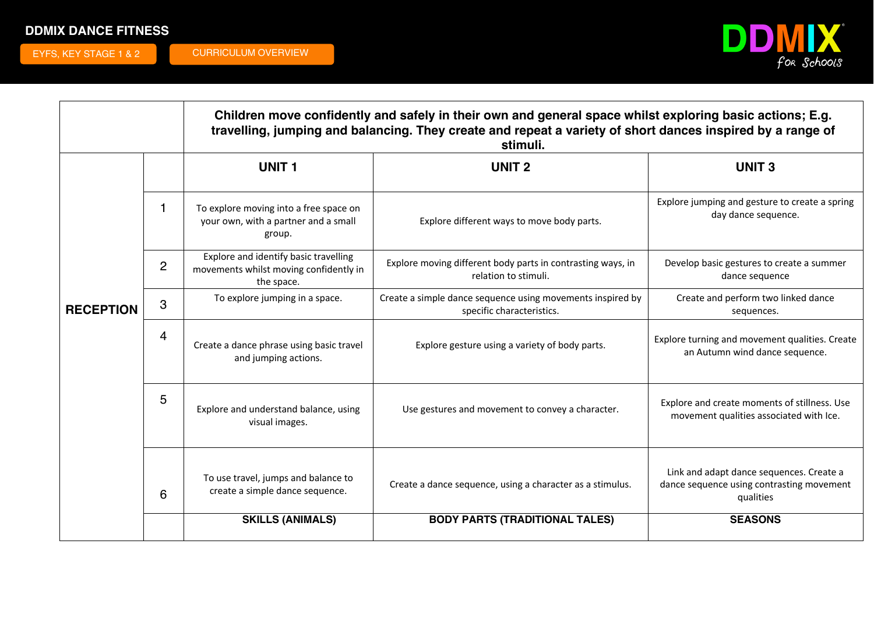## **DDMIX DANCE FITNESS**

EYFS, KEY STAGE 1 & 2 CURRICULUM OVERVIEW



|                  |                | Children move confidently and safely in their own and general space whilst exploring basic actions; E.g.<br>travelling, jumping and balancing. They create and repeat a variety of short dances inspired by a range of<br>stimuli. |                                                                                         |                                                                                                    |
|------------------|----------------|------------------------------------------------------------------------------------------------------------------------------------------------------------------------------------------------------------------------------------|-----------------------------------------------------------------------------------------|----------------------------------------------------------------------------------------------------|
|                  |                | <b>UNIT1</b>                                                                                                                                                                                                                       | <b>UNIT 2</b>                                                                           | <b>UNIT3</b>                                                                                       |
|                  |                | To explore moving into a free space on<br>your own, with a partner and a small<br>group.                                                                                                                                           | Explore different ways to move body parts.                                              | Explore jumping and gesture to create a spring<br>day dance sequence.                              |
|                  | $\overline{2}$ | Explore and identify basic travelling<br>movements whilst moving confidently in<br>the space.                                                                                                                                      | Explore moving different body parts in contrasting ways, in<br>relation to stimuli.     | Develop basic gestures to create a summer<br>dance sequence                                        |
| <b>RECEPTION</b> | 3              | To explore jumping in a space.                                                                                                                                                                                                     | Create a simple dance sequence using movements inspired by<br>specific characteristics. | Create and perform two linked dance<br>sequences.                                                  |
|                  | 4              | Create a dance phrase using basic travel<br>and jumping actions.                                                                                                                                                                   | Explore gesture using a variety of body parts.                                          | Explore turning and movement qualities. Create<br>an Autumn wind dance sequence.                   |
|                  | 5              | Explore and understand balance, using<br>visual images.                                                                                                                                                                            | Use gestures and movement to convey a character.                                        | Explore and create moments of stillness. Use<br>movement qualities associated with Ice.            |
|                  | 6              | To use travel, jumps and balance to<br>create a simple dance sequence.                                                                                                                                                             | Create a dance sequence, using a character as a stimulus.                               | Link and adapt dance sequences. Create a<br>dance sequence using contrasting movement<br>qualities |
|                  |                | <b>SKILLS (ANIMALS)</b>                                                                                                                                                                                                            | <b>BODY PARTS (TRADITIONAL TALES)</b>                                                   | <b>SEASONS</b>                                                                                     |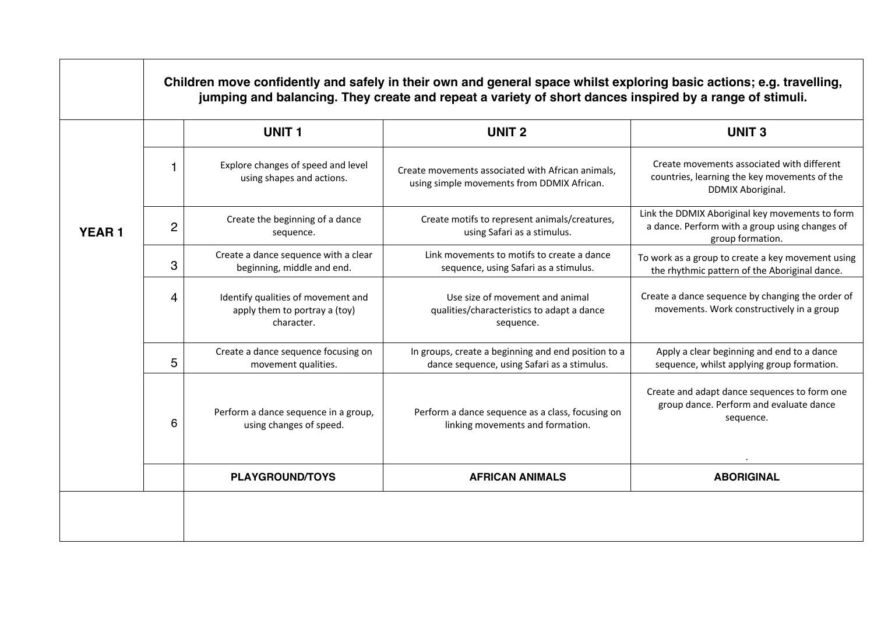|              |                |                                                                                   | Children move confidently and safely in their own and general space whilst exploring basic actions; e.g. travelling,<br>jumping and balancing. They create and repeat a variety of short dances inspired by a range of stimuli. |                                                                                                                       |
|--------------|----------------|-----------------------------------------------------------------------------------|---------------------------------------------------------------------------------------------------------------------------------------------------------------------------------------------------------------------------------|-----------------------------------------------------------------------------------------------------------------------|
|              |                | <b>UNIT1</b>                                                                      | <b>UNIT 2</b>                                                                                                                                                                                                                   | <b>UNIT3</b>                                                                                                          |
|              | 1              | Explore changes of speed and level<br>using shapes and actions.                   | Create movements associated with African animals,<br>using simple movements from DDMIX African.                                                                                                                                 | Create movements associated with different<br>countries, learning the key movements of the<br>DDMIX Aboriginal.       |
| <b>YEAR1</b> | $\overline{c}$ | Create the beginning of a dance<br>sequence.                                      | Create motifs to represent animals/creatures,<br>using Safari as a stimulus.                                                                                                                                                    | Link the DDMIX Aboriginal key movements to form<br>a dance. Perform with a group using changes of<br>group formation. |
|              | 3              | Create a dance sequence with a clear<br>beginning, middle and end.                | Link movements to motifs to create a dance<br>sequence, using Safari as a stimulus.                                                                                                                                             | To work as a group to create a key movement using<br>the rhythmic pattern of the Aboriginal dance.                    |
|              | 4              | Identify qualities of movement and<br>apply them to portray a (toy)<br>character. | Use size of movement and animal<br>qualities/characteristics to adapt a dance<br>sequence.                                                                                                                                      | Create a dance sequence by changing the order of<br>movements. Work constructively in a group                         |
|              | 5              | Create a dance sequence focusing on<br>movement qualities.                        | In groups, create a beginning and end position to a<br>dance sequence, using Safari as a stimulus.                                                                                                                              | Apply a clear beginning and end to a dance<br>sequence, whilst applying group formation.                              |
|              | 6              | Perform a dance sequence in a group,<br>using changes of speed.                   | Perform a dance sequence as a class, focusing on<br>linking movements and formation.                                                                                                                                            | Create and adapt dance sequences to form one<br>group dance. Perform and evaluate dance<br>sequence.                  |
|              |                | <b>PLAYGROUND/TOYS</b>                                                            | <b>AFRICAN ANIMALS</b>                                                                                                                                                                                                          | <b>ABORIGINAL</b>                                                                                                     |
|              |                |                                                                                   |                                                                                                                                                                                                                                 |                                                                                                                       |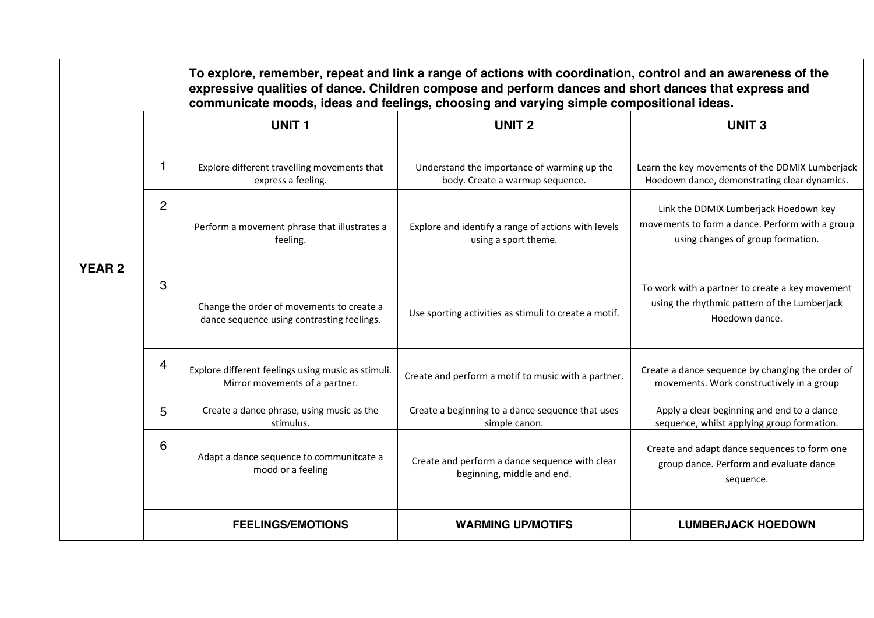|               |                | To explore, remember, repeat and link a range of actions with coordination, control and an awareness of the<br>expressive qualities of dance. Children compose and perform dances and short dances that express and<br>communicate moods, ideas and feelings, choosing and varying simple compositional ideas. |                                                                                |                                                                                                                               |  |
|---------------|----------------|----------------------------------------------------------------------------------------------------------------------------------------------------------------------------------------------------------------------------------------------------------------------------------------------------------------|--------------------------------------------------------------------------------|-------------------------------------------------------------------------------------------------------------------------------|--|
|               |                | <b>UNIT1</b>                                                                                                                                                                                                                                                                                                   | <b>UNIT 2</b>                                                                  | <b>UNIT3</b>                                                                                                                  |  |
|               | 1              | Explore different travelling movements that<br>express a feeling.                                                                                                                                                                                                                                              | Understand the importance of warming up the<br>body. Create a warmup sequence. | Learn the key movements of the DDMIX Lumberjack<br>Hoedown dance, demonstrating clear dynamics.                               |  |
| <b>YEAR 2</b> | $\overline{2}$ | Perform a movement phrase that illustrates a<br>feeling.                                                                                                                                                                                                                                                       | Explore and identify a range of actions with levels<br>using a sport theme.    | Link the DDMIX Lumberjack Hoedown key<br>movements to form a dance. Perform with a group<br>using changes of group formation. |  |
|               | 3              | Change the order of movements to create a<br>dance sequence using contrasting feelings.                                                                                                                                                                                                                        | Use sporting activities as stimuli to create a motif.                          | To work with a partner to create a key movement<br>using the rhythmic pattern of the Lumberjack<br>Hoedown dance.             |  |
|               | $\overline{4}$ | Explore different feelings using music as stimuli.<br>Mirror movements of a partner.                                                                                                                                                                                                                           | Create and perform a motif to music with a partner.                            | Create a dance sequence by changing the order of<br>movements. Work constructively in a group                                 |  |
|               | 5              | Create a dance phrase, using music as the<br>stimulus.                                                                                                                                                                                                                                                         | Create a beginning to a dance sequence that uses<br>simple canon.              | Apply a clear beginning and end to a dance<br>sequence, whilst applying group formation.                                      |  |
|               | 6              | Adapt a dance sequence to communitcate a<br>mood or a feeling                                                                                                                                                                                                                                                  | Create and perform a dance sequence with clear<br>beginning, middle and end.   | Create and adapt dance sequences to form one<br>group dance. Perform and evaluate dance<br>sequence.                          |  |
|               |                | <b>FEELINGS/EMOTIONS</b>                                                                                                                                                                                                                                                                                       | <b>WARMING UP/MOTIFS</b>                                                       | <b>LUMBERJACK HOEDOWN</b>                                                                                                     |  |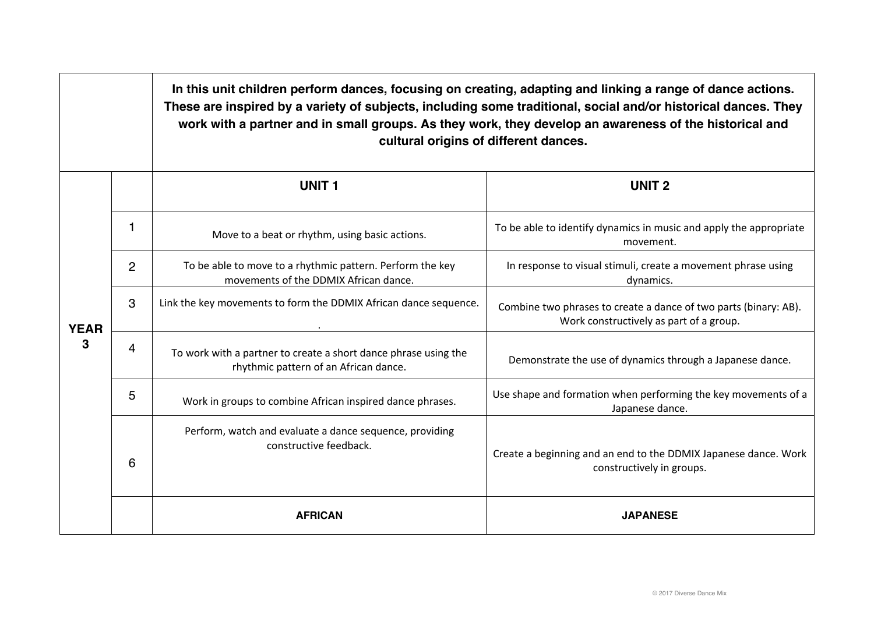|                  |   |                                                                                                          | In this unit children perform dances, focusing on creating, adapting and linking a range of dance actions.<br>These are inspired by a variety of subjects, including some traditional, social and/or historical dances. They<br>work with a partner and in small groups. As they work, they develop an awareness of the historical and<br>cultural origins of different dances. |  |  |
|------------------|---|----------------------------------------------------------------------------------------------------------|---------------------------------------------------------------------------------------------------------------------------------------------------------------------------------------------------------------------------------------------------------------------------------------------------------------------------------------------------------------------------------|--|--|
|                  |   | <b>UNIT1</b>                                                                                             | <b>UNIT 2</b>                                                                                                                                                                                                                                                                                                                                                                   |  |  |
| <b>YEAR</b><br>3 | 1 | Move to a beat or rhythm, using basic actions.                                                           | To be able to identify dynamics in music and apply the appropriate<br>movement.                                                                                                                                                                                                                                                                                                 |  |  |
|                  | 2 | To be able to move to a rhythmic pattern. Perform the key<br>movements of the DDMIX African dance.       | In response to visual stimuli, create a movement phrase using<br>dynamics.                                                                                                                                                                                                                                                                                                      |  |  |
|                  | 3 | Link the key movements to form the DDMIX African dance sequence.                                         | Combine two phrases to create a dance of two parts (binary: AB).<br>Work constructively as part of a group.                                                                                                                                                                                                                                                                     |  |  |
|                  | 4 | To work with a partner to create a short dance phrase using the<br>rhythmic pattern of an African dance. | Demonstrate the use of dynamics through a Japanese dance.                                                                                                                                                                                                                                                                                                                       |  |  |
|                  | 5 | Work in groups to combine African inspired dance phrases.                                                | Use shape and formation when performing the key movements of a<br>Japanese dance.                                                                                                                                                                                                                                                                                               |  |  |
|                  | 6 | Perform, watch and evaluate a dance sequence, providing<br>constructive feedback.                        | Create a beginning and an end to the DDMIX Japanese dance. Work<br>constructively in groups.                                                                                                                                                                                                                                                                                    |  |  |
|                  |   | <b>AFRICAN</b>                                                                                           | <b>JAPANESE</b>                                                                                                                                                                                                                                                                                                                                                                 |  |  |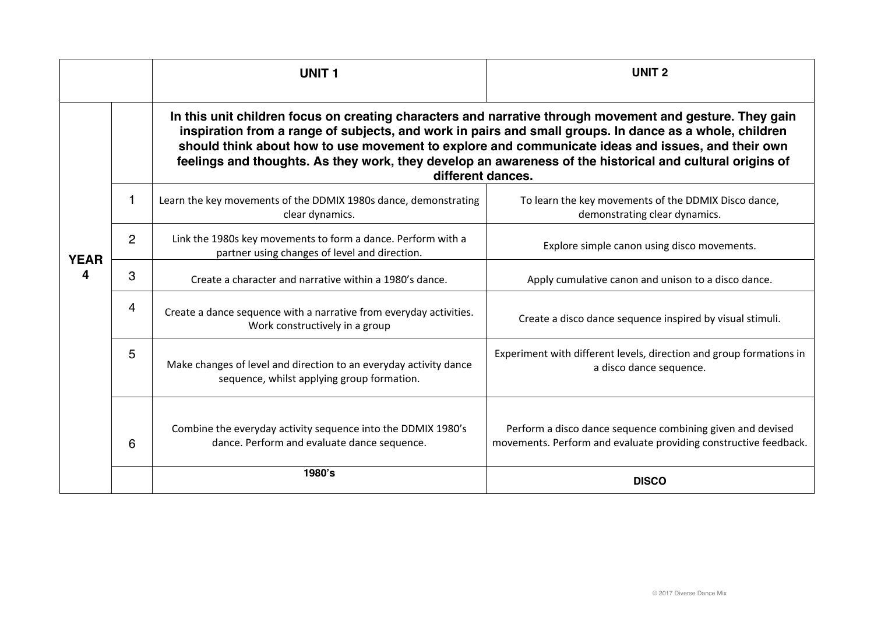|                  |                | <b>UNIT1</b>                                                                                                                                                                                                                                                                                                                                                                                                                                              | <b>UNIT 2</b>                                                                                                                  |  |  |
|------------------|----------------|-----------------------------------------------------------------------------------------------------------------------------------------------------------------------------------------------------------------------------------------------------------------------------------------------------------------------------------------------------------------------------------------------------------------------------------------------------------|--------------------------------------------------------------------------------------------------------------------------------|--|--|
|                  |                | In this unit children focus on creating characters and narrative through movement and gesture. They gain<br>inspiration from a range of subjects, and work in pairs and small groups. In dance as a whole, children<br>should think about how to use movement to explore and communicate ideas and issues, and their own<br>feelings and thoughts. As they work, they develop an awareness of the historical and cultural origins of<br>different dances. |                                                                                                                                |  |  |
|                  | 1              | Learn the key movements of the DDMIX 1980s dance, demonstrating<br>clear dynamics.                                                                                                                                                                                                                                                                                                                                                                        | To learn the key movements of the DDMIX Disco dance,<br>demonstrating clear dynamics.                                          |  |  |
| <b>YEAR</b><br>Δ | $\overline{2}$ | Link the 1980s key movements to form a dance. Perform with a<br>partner using changes of level and direction.                                                                                                                                                                                                                                                                                                                                             | Explore simple canon using disco movements.                                                                                    |  |  |
|                  | 3              | Create a character and narrative within a 1980's dance.                                                                                                                                                                                                                                                                                                                                                                                                   | Apply cumulative canon and unison to a disco dance.                                                                            |  |  |
|                  | $\overline{4}$ | Create a dance sequence with a narrative from everyday activities.<br>Work constructively in a group                                                                                                                                                                                                                                                                                                                                                      | Create a disco dance sequence inspired by visual stimuli.                                                                      |  |  |
|                  | 5              | Make changes of level and direction to an everyday activity dance<br>sequence, whilst applying group formation.                                                                                                                                                                                                                                                                                                                                           | Experiment with different levels, direction and group formations in<br>a disco dance sequence.                                 |  |  |
|                  | 6              | Combine the everyday activity sequence into the DDMIX 1980's<br>dance. Perform and evaluate dance sequence.                                                                                                                                                                                                                                                                                                                                               | Perform a disco dance sequence combining given and devised<br>movements. Perform and evaluate providing constructive feedback. |  |  |
|                  |                | 1980's                                                                                                                                                                                                                                                                                                                                                                                                                                                    | <b>DISCO</b>                                                                                                                   |  |  |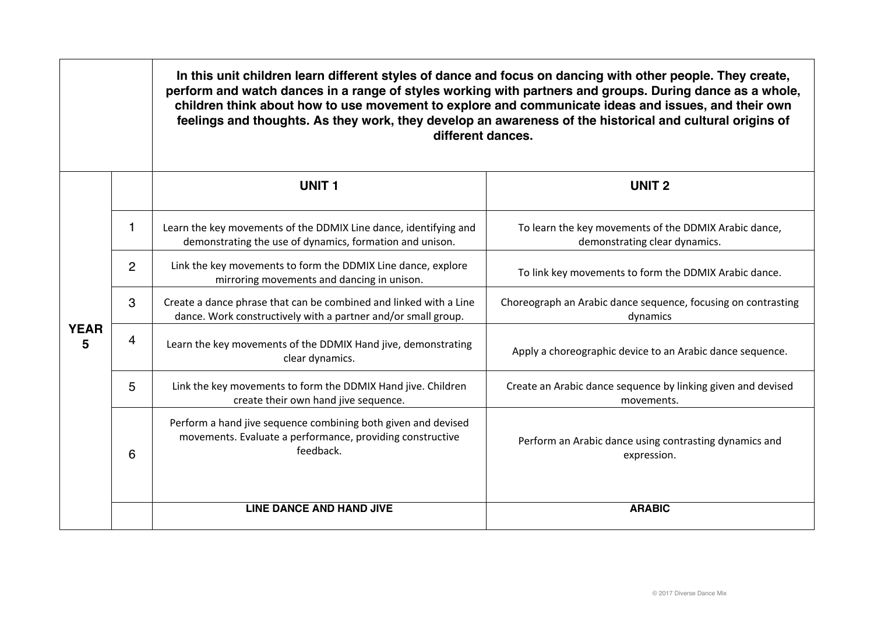|                  |                | In this unit children learn different styles of dance and focus on dancing with other people. They create,<br>perform and watch dances in a range of styles working with partners and groups. During dance as a whole,<br>children think about how to use movement to explore and communicate ideas and issues, and their own<br>feelings and thoughts. As they work, they develop an awareness of the historical and cultural origins of<br>different dances. |                                                                                        |  |  |
|------------------|----------------|----------------------------------------------------------------------------------------------------------------------------------------------------------------------------------------------------------------------------------------------------------------------------------------------------------------------------------------------------------------------------------------------------------------------------------------------------------------|----------------------------------------------------------------------------------------|--|--|
|                  |                | <b>UNIT1</b>                                                                                                                                                                                                                                                                                                                                                                                                                                                   | <b>UNIT 2</b>                                                                          |  |  |
| <b>YEAR</b><br>5 | 1              | Learn the key movements of the DDMIX Line dance, identifying and<br>demonstrating the use of dynamics, formation and unison.                                                                                                                                                                                                                                                                                                                                   | To learn the key movements of the DDMIX Arabic dance,<br>demonstrating clear dynamics. |  |  |
|                  | $\overline{2}$ | Link the key movements to form the DDMIX Line dance, explore<br>mirroring movements and dancing in unison.                                                                                                                                                                                                                                                                                                                                                     | To link key movements to form the DDMIX Arabic dance.                                  |  |  |
|                  | 3              | Create a dance phrase that can be combined and linked with a Line<br>dance. Work constructively with a partner and/or small group.                                                                                                                                                                                                                                                                                                                             | Choreograph an Arabic dance sequence, focusing on contrasting<br>dynamics              |  |  |
|                  | 4              | Learn the key movements of the DDMIX Hand jive, demonstrating<br>clear dynamics.                                                                                                                                                                                                                                                                                                                                                                               | Apply a choreographic device to an Arabic dance sequence.                              |  |  |
|                  | 5              | Link the key movements to form the DDMIX Hand jive. Children<br>create their own hand jive sequence.                                                                                                                                                                                                                                                                                                                                                           | Create an Arabic dance sequence by linking given and devised<br>movements.             |  |  |
|                  | 6              | Perform a hand jive sequence combining both given and devised<br>movements. Evaluate a performance, providing constructive<br>feedback.                                                                                                                                                                                                                                                                                                                        | Perform an Arabic dance using contrasting dynamics and<br>expression.                  |  |  |
|                  |                | <b>LINE DANCE AND HAND JIVE</b>                                                                                                                                                                                                                                                                                                                                                                                                                                | <b>ARABIC</b>                                                                          |  |  |